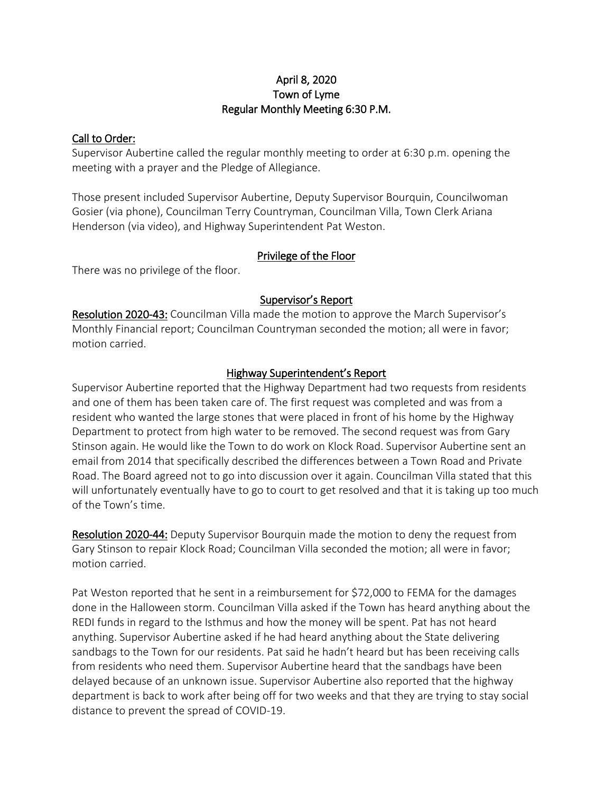#### April 8, 2020 Town of Lyme Regular Monthly Meeting 6:30 P.M.

#### Call to Order:

Supervisor Aubertine called the regular monthly meeting to order at 6:30 p.m. opening the meeting with a prayer and the Pledge of Allegiance.

Those present included Supervisor Aubertine, Deputy Supervisor Bourquin, Councilwoman Gosier (via phone), Councilman Terry Countryman, Councilman Villa, Town Clerk Ariana Henderson (via video), and Highway Superintendent Pat Weston.

#### Privilege of the Floor

There was no privilege of the floor.

## Supervisor's Report

Resolution 2020-43: Councilman Villa made the motion to approve the March Supervisor's Monthly Financial report; Councilman Countryman seconded the motion; all were in favor; motion carried.

## Highway Superintendent's Report

Supervisor Aubertine reported that the Highway Department had two requests from residents and one of them has been taken care of. The first request was completed and was from a resident who wanted the large stones that were placed in front of his home by the Highway Department to protect from high water to be removed. The second request was from Gary Stinson again. He would like the Town to do work on Klock Road. Supervisor Aubertine sent an email from 2014 that specifically described the differences between a Town Road and Private Road. The Board agreed not to go into discussion over it again. Councilman Villa stated that this will unfortunately eventually have to go to court to get resolved and that it is taking up too much of the Town's time.

Resolution 2020-44: Deputy Supervisor Bourquin made the motion to deny the request from Gary Stinson to repair Klock Road; Councilman Villa seconded the motion; all were in favor; motion carried.

Pat Weston reported that he sent in a reimbursement for \$72,000 to FEMA for the damages done in the Halloween storm. Councilman Villa asked if the Town has heard anything about the REDI funds in regard to the Isthmus and how the money will be spent. Pat has not heard anything. Supervisor Aubertine asked if he had heard anything about the State delivering sandbags to the Town for our residents. Pat said he hadn't heard but has been receiving calls from residents who need them. Supervisor Aubertine heard that the sandbags have been delayed because of an unknown issue. Supervisor Aubertine also reported that the highway department is back to work after being off for two weeks and that they are trying to stay social distance to prevent the spread of COVID-19.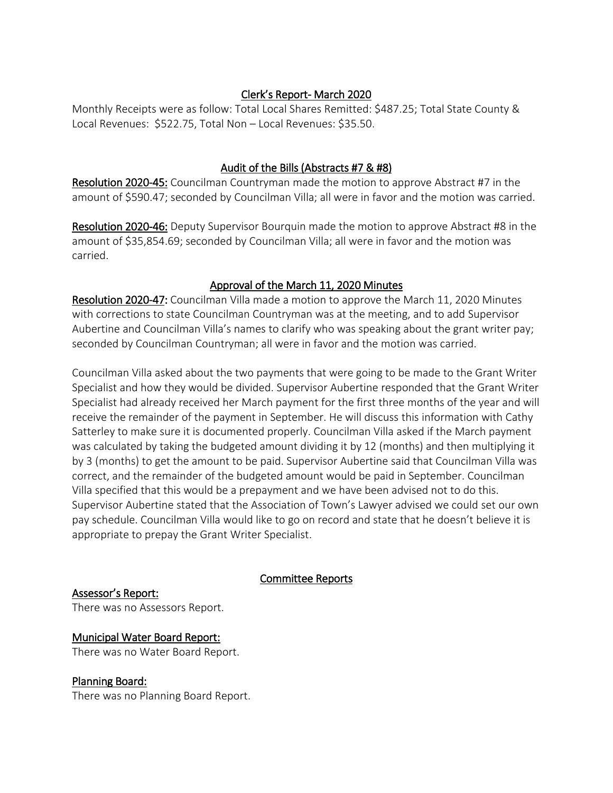#### Clerk's Report- March 2020

Monthly Receipts were as follow: Total Local Shares Remitted: \$487.25; Total State County & Local Revenues: \$522.75, Total Non – Local Revenues: \$35.50.

#### Audit of the Bills (Abstracts #7 & #8)

Resolution 2020-45: Councilman Countryman made the motion to approve Abstract #7 in the amount of \$590.47; seconded by Councilman Villa; all were in favor and the motion was carried.

Resolution 2020-46: Deputy Supervisor Bourquin made the motion to approve Abstract #8 in the amount of \$35,854.69; seconded by Councilman Villa; all were in favor and the motion was carried.

# Approval of the March 11, 2020 Minutes

Resolution 2020-47: Councilman Villa made a motion to approve the March 11, 2020 Minutes with corrections to state Councilman Countryman was at the meeting, and to add Supervisor Aubertine and Councilman Villa's names to clarify who was speaking about the grant writer pay; seconded by Councilman Countryman; all were in favor and the motion was carried.

Councilman Villa asked about the two payments that were going to be made to the Grant Writer Specialist and how they would be divided. Supervisor Aubertine responded that the Grant Writer Specialist had already received her March payment for the first three months of the year and will receive the remainder of the payment in September. He will discuss this information with Cathy Satterley to make sure it is documented properly. Councilman Villa asked if the March payment was calculated by taking the budgeted amount dividing it by 12 (months) and then multiplying it by 3 (months) to get the amount to be paid. Supervisor Aubertine said that Councilman Villa was correct, and the remainder of the budgeted amount would be paid in September. Councilman Villa specified that this would be a prepayment and we have been advised not to do this. Supervisor Aubertine stated that the Association of Town's Lawyer advised we could set our own pay schedule. Councilman Villa would like to go on record and state that he doesn't believe it is appropriate to prepay the Grant Writer Specialist.

# Committee Reports

# Assessor's Report:

There was no Assessors Report.

#### Municipal Water Board Report:

There was no Water Board Report.

#### Planning Board:

There was no Planning Board Report.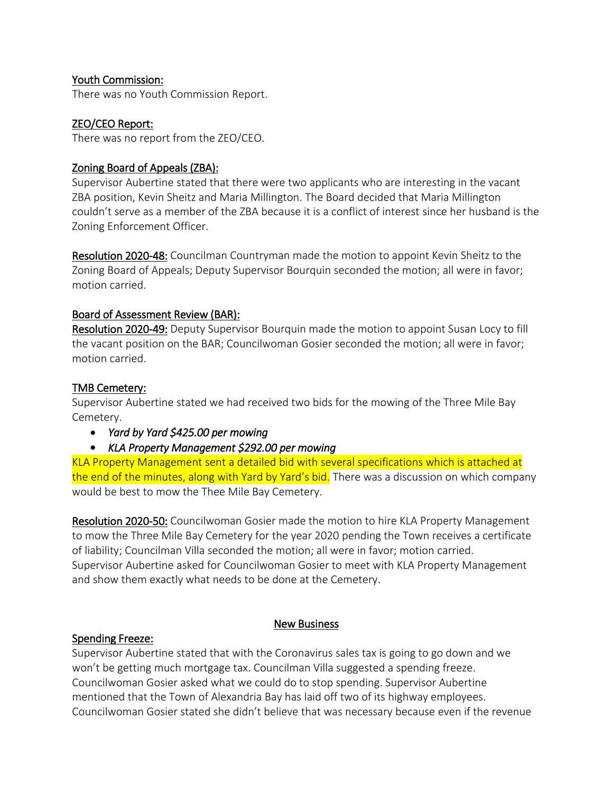#### Youth Commission:

There was no Youth Commission Report.

## ZEO/CEO Report:

There was no report from the ZEO/CEO.

#### Zoning Board of Appeals (ZBA):

Supervisor Aubertine stated that there were two applicants who are interesting in the vacant ZBA position, Kevin Sheitz and Maria Millington. The Board decided that Maria Millington couldn't serve as a member of the ZBA because it is a conflict of interest since her husband is the Zoning Enforcement Officer.

Resolution 2020-48: Councilman Countryman made the motion to appoint Kevin Sheitz to the Zoning Board of Appeals; Deputy Supervisor Bourquin seconded the motion; all were in favor; motion carried.

## Board of Assessment Review (BAR):

Resolution 2020-49: Deputy Supervisor Bourquin made the motion to appoint Susan Locy to fill the vacant position on the BAR; Councilwoman Gosier seconded the motion; all were in favor; motion carried.

## TMB Cemetery:

Supervisor Aubertine stated we had received two bids for the mowing of the Three Mile Bay Cemetery.

- *Yard by Yard \$425.00 per mowing*
- *KLA Property Management \$292.00 per mowing*

KLA Property Management sent a detailed bid with several specifications which is attached at the end of the minutes, along with Yard by Yard's bid. There was a discussion on which company would be best to mow the Thee Mile Bay Cemetery.

Resolution 2020-50: Councilwoman Gosier made the motion to hire KLA Property Management to mow the Three Mile Bay Cemetery for the year 2020 pending the Town receives a certificate of liability; Councilman Villa seconded the motion; all were in favor; motion carried. Supervisor Aubertine asked for Councilwoman Gosier to meet with KLA Property Management and show them exactly what needs to be done at the Cemetery.

#### New Business

#### Spending Freeze:

Supervisor Aubertine stated that with the Coronavirus sales tax is going to go down and we won't be getting much mortgage tax. Councilman Villa suggested a spending freeze. Councilwoman Gosier asked what we could do to stop spending. Supervisor Aubertine mentioned that the Town of Alexandria Bay has laid off two of its highway employees. Councilwoman Gosier stated she didn't believe that was necessary because even if the revenue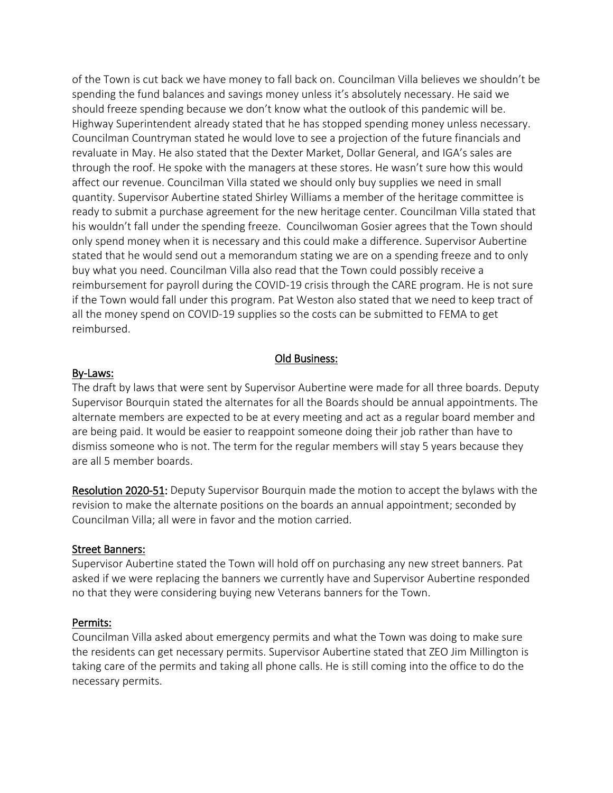of the Town is cut back we have money to fall back on. Councilman Villa believes we shouldn't be spending the fund balances and savings money unless it's absolutely necessary. He said we should freeze spending because we don't know what the outlook of this pandemic will be. Highway Superintendent already stated that he has stopped spending money unless necessary. Councilman Countryman stated he would love to see a projection of the future financials and revaluate in May. He also stated that the Dexter Market, Dollar General, and IGA's sales are through the roof. He spoke with the managers at these stores. He wasn't sure how this would affect our revenue. Councilman Villa stated we should only buy supplies we need in small quantity. Supervisor Aubertine stated Shirley Williams a member of the heritage committee is ready to submit a purchase agreement for the new heritage center. Councilman Villa stated that his wouldn't fall under the spending freeze. Councilwoman Gosier agrees that the Town should only spend money when it is necessary and this could make a difference. Supervisor Aubertine stated that he would send out a memorandum stating we are on a spending freeze and to only buy what you need. Councilman Villa also read that the Town could possibly receive a reimbursement for payroll during the COVID-19 crisis through the CARE program. He is not sure if the Town would fall under this program. Pat Weston also stated that we need to keep tract of all the money spend on COVID-19 supplies so the costs can be submitted to FEMA to get reimbursed.

#### Old Business:

#### By-Laws:

The draft by laws that were sent by Supervisor Aubertine were made for all three boards. Deputy Supervisor Bourquin stated the alternates for all the Boards should be annual appointments. The alternate members are expected to be at every meeting and act as a regular board member and are being paid. It would be easier to reappoint someone doing their job rather than have to dismiss someone who is not. The term for the regular members will stay 5 years because they are all 5 member boards.

Resolution 2020-51: Deputy Supervisor Bourquin made the motion to accept the bylaws with the revision to make the alternate positions on the boards an annual appointment; seconded by Councilman Villa; all were in favor and the motion carried.

#### Street Banners:

Supervisor Aubertine stated the Town will hold off on purchasing any new street banners. Pat asked if we were replacing the banners we currently have and Supervisor Aubertine responded no that they were considering buying new Veterans banners for the Town.

#### Permits:

Councilman Villa asked about emergency permits and what the Town was doing to make sure the residents can get necessary permits. Supervisor Aubertine stated that ZEO Jim Millington is taking care of the permits and taking all phone calls. He is still coming into the office to do the necessary permits.